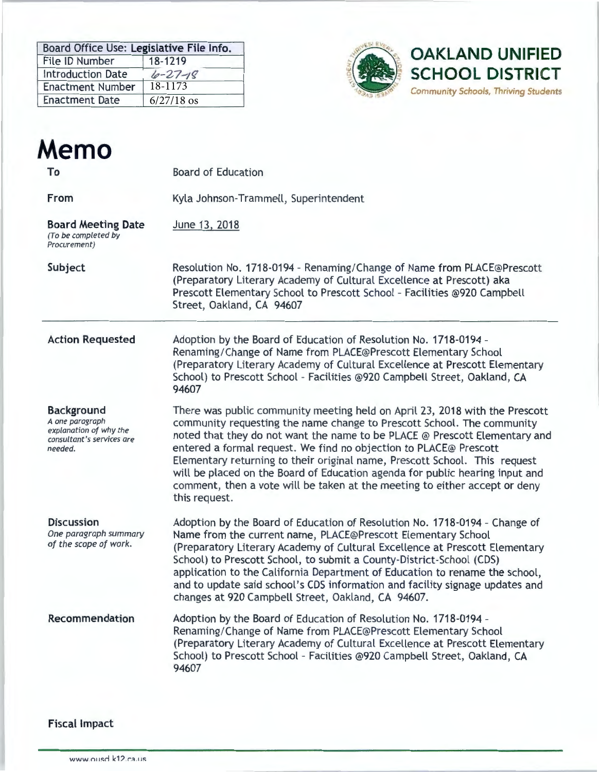| Board Office Use: Legislative File Info. |               |  |
|------------------------------------------|---------------|--|
| File ID Number                           | 18-1219       |  |
| <b>Introduction Date</b>                 | $6 - 27 - 18$ |  |
| <b>Enactment Number</b>                  | 18-1173       |  |
| <b>Enactment Date</b>                    | $6/27/18$ os  |  |



| Memo                                                                                                   |                                                                                                                                                                                                                                                                                                                                                                                                                                                                                                                                                                       |  |
|--------------------------------------------------------------------------------------------------------|-----------------------------------------------------------------------------------------------------------------------------------------------------------------------------------------------------------------------------------------------------------------------------------------------------------------------------------------------------------------------------------------------------------------------------------------------------------------------------------------------------------------------------------------------------------------------|--|
| To                                                                                                     | <b>Board of Education</b>                                                                                                                                                                                                                                                                                                                                                                                                                                                                                                                                             |  |
| From                                                                                                   | Kyla Johnson-Trammell, Superintendent                                                                                                                                                                                                                                                                                                                                                                                                                                                                                                                                 |  |
| <b>Board Meeting Date</b><br>(To be completed by<br>Procurement)                                       | June 13, 2018                                                                                                                                                                                                                                                                                                                                                                                                                                                                                                                                                         |  |
| Subject                                                                                                | Resolution No. 1718-0194 - Renaming/Change of Name from PLACE@Prescott<br>(Preparatory Literary Academy of Cultural Excellence at Prescott) aka<br>Prescott Elementary School to Prescott School - Facilities @920 Campbell<br>Street, Oakland, CA 94607                                                                                                                                                                                                                                                                                                              |  |
| <b>Action Requested</b>                                                                                | Adoption by the Board of Education of Resolution No. 1718-0194 -<br>Renaming/Change of Name from PLACE@Prescott Elementary School<br>(Preparatory Literary Academy of Cultural Excellence at Prescott Elementary<br>School) to Prescott School - Facilities @920 Campbell Street, Oakland, CA<br>94607                                                                                                                                                                                                                                                                |  |
| <b>Background</b><br>A one paragraph<br>explanation of why the<br>consultant's services are<br>needed. | There was public community meeting held on April 23, 2018 with the Prescott<br>community requesting the name change to Prescott School. The community<br>noted that they do not want the name to be PLACE @ Prescott Elementary and<br>entered a formal request. We find no objection to PLACE@ Prescott<br>Elementary returning to their original name, Prescott School. This request<br>will be placed on the Board of Education agenda for public hearing input and<br>comment, then a vote will be taken at the meeting to either accept or deny<br>this request. |  |
| <b>Discussion</b><br>One paragraph summary<br>of the scope of work.                                    | Adoption by the Board of Education of Resolution No. 1718-0194 - Change of<br>Name from the current name, PLACE@Prescott Elementary School<br>(Preparatory Literary Academy of Cultural Excellence at Prescott Elementary<br>School) to Prescott School, to submit a County-District-School (CDS)<br>application to the California Department of Education to rename the school,<br>and to update said school's CDS information and facility signage updates and<br>changes at 920 Campbell Street, Oakland, CA 94607.                                                |  |
| <b>Recommendation</b>                                                                                  | Adoption by the Board of Education of Resolution No. 1718-0194 -<br>Renaming/Change of Name from PLACE@Prescott Elementary School<br>(Preparatory Literary Academy of Cultural Excellence at Prescott Elementary<br>School) to Prescott School - Facilities @920 Campbell Street, Oakland, CA<br>94607                                                                                                                                                                                                                                                                |  |

## **Fiscal Impact**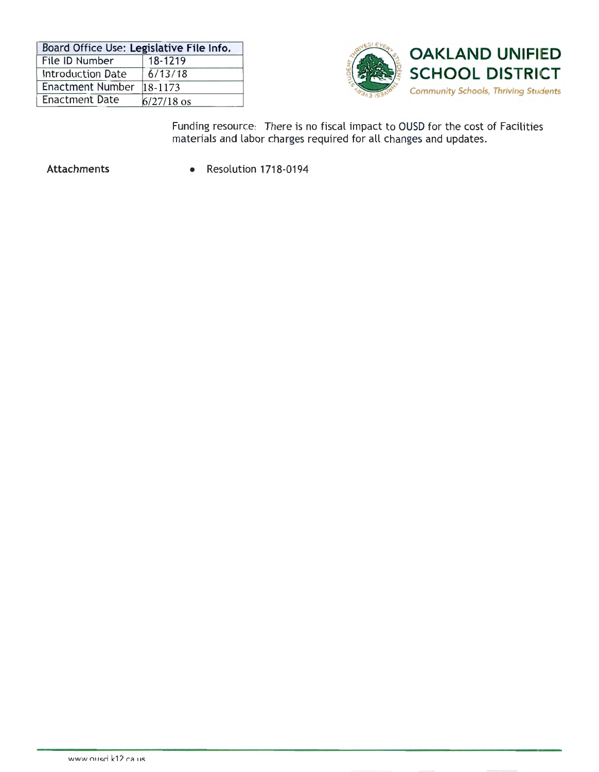| Board Office Use: Legislative File Info. |              |
|------------------------------------------|--------------|
| File ID Number                           | 18-1219      |
| <b>Introduction Date</b>                 | 6/13/18      |
| <b>Enactment Number</b>                  | $18 - 1173$  |
| <b>Enactment Date</b>                    | $6/27/18$ os |



Funding resource: There is no fiscal impact to OUSD for the cost of Facilities materials and labor charges required for all changes and updates.

**Attachments** 

 $\bullet$  Resolution 1718-0194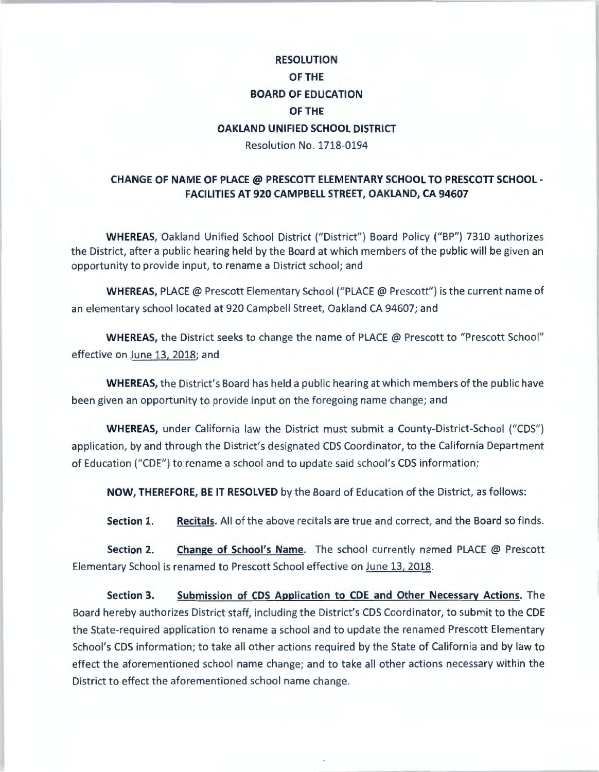## **RESOLUTION OF THE BOARD OF EDUCATION OF THE OAKLAND UNIFIED SCHOOL DISTRICT**

## Resolution No. 1718-0194

## **CHANGE OF NAME OF PLACE@ PRESCOTT ELEMENTARY SCHOOL TO PRESCOTT SCHOOL-FACILITIES AT 920 CAMPBELL STREET, OAKLAND, CA 94607**

**WHEREAS,** Oakland Unified School District ("District") Board Policy ("BP") 7310 authorizes the District, after a public hearing held by the Board at which members of the public will be given an opportunity to provide input, to rename a District school; and

**WHEREAS,** PLACE@ Prescott Elementary School ("PLACE@ Prescott") is the current name of an elementary school located at 920 Campbell Street, Oakland CA 94607; and

**WHEREAS,** the District seeks to change the name of PLACE @ Prescott to "Prescott School" effective on June 13, 2018; and

**WHEREAS,** the District's Board has held a public hearing at which members of the public have been given an opportunity to provide input on the foregoing name change; and

**WHEREAS,** under California law the District must submit a County-District-School ("CDS") application, by and through the District's designated CDS Coordinator, to the California Department of Education {"CDE") to rename a school and to update said school's CDS information;

**NOW, THEREFORE, BE IT RESOLVED** by the Board of Education of the District, as follows:

**Section 1. Recitals.** All of the above recitals are true and correct, and the Board so finds.

**Section 2. Change of School's Name.** The school currently named PLACE @ Prescott Elementary School is renamed to Prescott School effective on June 13, 2018.

**Section 3. Submission of CDS Application to COE and Other Necessary Actions.** The Board hereby authorizes District staff, including the District's CDS Coordinator, to submit to the CDE the State-required application to rename a school and to update the renamed Prescott Elementary School's CDS information; to take all other actions required by the State of California and by law to effect the aforementioned school name change; and to take all other actions necessary within the District to effect the aforementioned school name change.